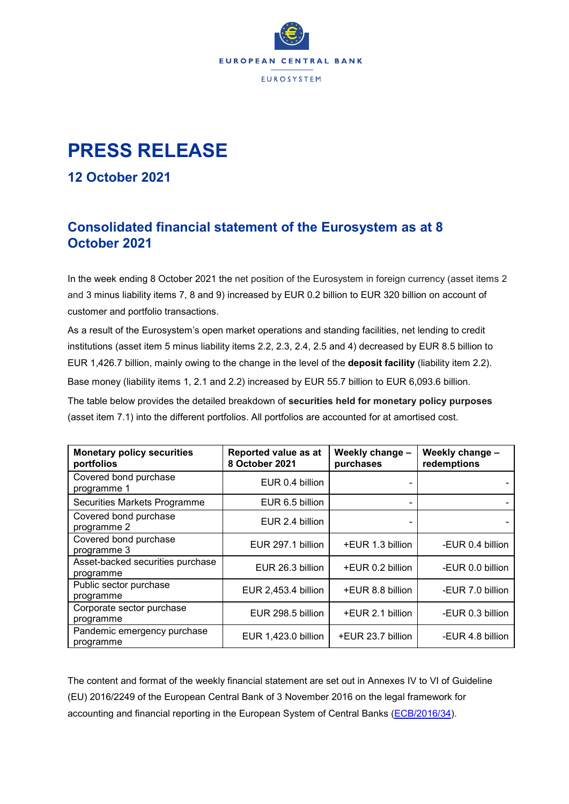

## **PRESS RELEASE**

## **12 October 2021**

## **Consolidated financial statement of the Eurosystem as at 8 October 2021**

In the week ending 8 October 2021 the net position of the Eurosystem in foreign currency (asset items 2 and 3 minus liability items 7, 8 and 9) increased by EUR 0.2 billion to EUR 320 billion on account of customer and portfolio transactions.

As a result of the Eurosystem's open market operations and standing facilities, net lending to credit institutions (asset item 5 minus liability items 2.2, 2.3, 2.4, 2.5 and 4) decreased by EUR 8.5 billion to EUR 1,426.7 billion, mainly owing to the change in the level of the **deposit facility** (liability item 2.2). Base money (liability items 1, 2.1 and 2.2) increased by EUR 55.7 billion to EUR 6,093.6 billion.

The table below provides the detailed breakdown of **securities held for monetary policy purposes** (asset item 7.1) into the different portfolios. All portfolios are accounted for at amortised cost.

| <b>Monetary policy securities</b><br>portfolios | Reported value as at<br>8 October 2021 | Weekly change -<br>purchases | Weekly change -<br>redemptions |  |
|-------------------------------------------------|----------------------------------------|------------------------------|--------------------------------|--|
| Covered bond purchase<br>programme 1            | EUR 0.4 billion                        |                              |                                |  |
| Securities Markets Programme                    | EUR 6.5 billion                        |                              |                                |  |
| Covered bond purchase<br>programme 2            | EUR 2.4 billion                        |                              |                                |  |
| Covered bond purchase<br>programme 3            | EUR 297.1 billion                      | +EUR 1.3 billion             | -EUR 0.4 billion               |  |
| Asset-backed securities purchase<br>programme   | EUR 26.3 billion                       | +EUR 0.2 billion             | -EUR 0.0 billion               |  |
| Public sector purchase<br>programme             | EUR 2,453.4 billion                    | +EUR 8.8 billion             | -EUR 7.0 billion               |  |
| Corporate sector purchase<br>programme          | EUR 298.5 billion                      | +EUR 2.1 billion             | -EUR 0.3 billion               |  |
| Pandemic emergency purchase<br>programme        | EUR 1,423.0 billion                    | +EUR 23.7 billion            | -EUR 4.8 billion               |  |

The content and format of the weekly financial statement are set out in Annexes IV to VI of Guideline (EU) 2016/2249 of the European Central Bank of 3 November 2016 on the legal framework for accounting and financial reporting in the European System of Central Banks [\(ECB/2016/34\)](https://eur-lex.europa.eu/legal-content/EN/TXT/?qid=1599130224518&uri=CELEX:32016O0034).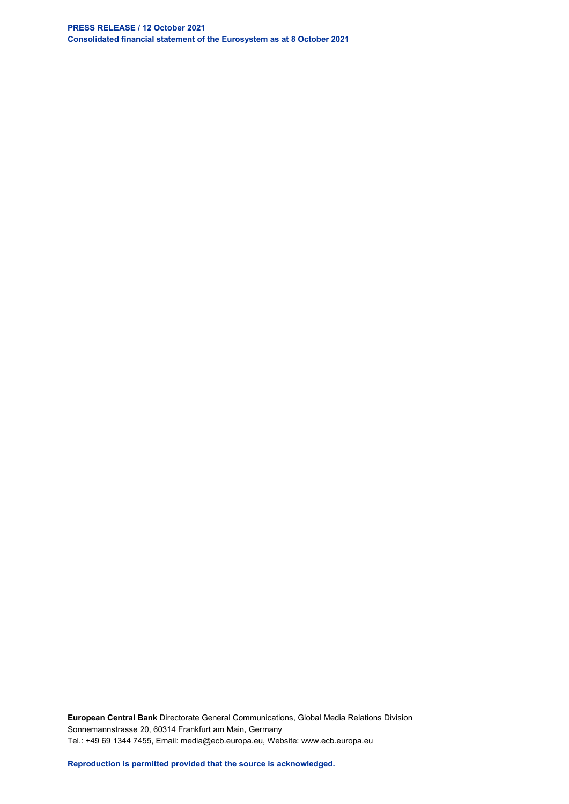**PRESS RELEASE / 12 October 2021 Consolidated financial statement of the Eurosystem as at 8 October 2021**

**European Central Bank** Directorate General Communications, Global Media Relations Division Sonnemannstrasse 20, 60314 Frankfurt am Main, Germany Tel.: +49 69 1344 7455, Email: media@ecb.europa.eu, Website: www.ecb.europa.eu